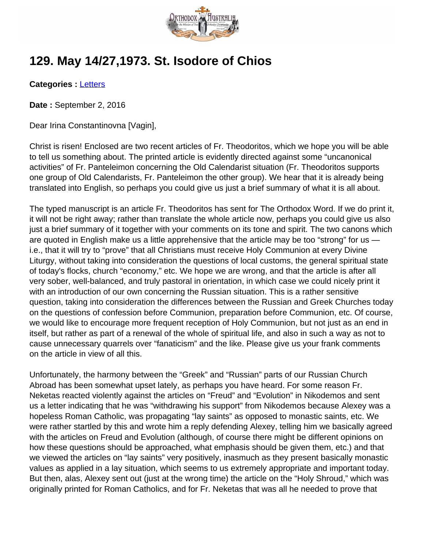

## **129. May 14/27,1973. St. Isodore of Chios**

**Categories :** [Letters](http://orthodoxaustralia.org/category/letters/)

**Date :** September 2, 2016

Dear Irina Constantinovna [Vagin],

Christ is risen! Enclosed are two recent articles of Fr. Theodoritos, which we hope you will be able to tell us something about. The printed article is evidently directed against some "uncanonical activities" of Fr. Panteleimon concerning the Old Calendarist situation (Fr. Theodoritos supports one group of Old Calendarists, Fr. Panteleimon the other group). We hear that it is already being translated into English, so perhaps you could give us just a brief summary of what it is all about.

The typed manuscript is an article Fr. Theodoritos has sent for The Orthodox Word. If we do print it, it will not be right away; rather than translate the whole article now, perhaps you could give us also just a brief summary of it together with your comments on its tone and spirit. The two canons which are quoted in English make us a little apprehensive that the article may be too "strong" for us i.e., that it will try to "prove" that all Christians must receive Holy Communion at every Divine Liturgy, without taking into consideration the questions of local customs, the general spiritual state of today's flocks, church "economy," etc. We hope we are wrong, and that the article is after all very sober, well-balanced, and truly pastoral in orientation, in which case we could nicely print it with an introduction of our own concerning the Russian situation. This is a rather sensitive question, taking into consideration the differences between the Russian and Greek Churches today on the questions of confession before Communion, preparation before Communion, etc. Of course, we would like to encourage more frequent reception of Holy Communion, but not just as an end in itself, but rather as part of a renewal of the whole of spiritual life, and also in such a way as not to cause unnecessary quarrels over "fanaticism" and the like. Please give us your frank comments on the article in view of all this.

Unfortunately, the harmony between the "Greek" and "Russian" parts of our Russian Church Abroad has been somewhat upset lately, as perhaps you have heard. For some reason Fr. Neketas reacted violently against the articles on "Freud" and "Evolution" in Nikodemos and sent us a letter indicating that he was "withdrawing his support" from Nikodemos because Alexey was a hopeless Roman Catholic, was propagating "lay saints" as opposed to monastic saints, etc. We were rather startled by this and wrote him a reply defending Alexey, telling him we basically agreed with the articles on Freud and Evolution (although, of course there might be different opinions on how these questions should be approached, what emphasis should be given them, etc.) and that we viewed the articles on "lay saints" very positively, inasmuch as they present basically monastic values as applied in a lay situation, which seems to us extremely appropriate and important today. But then, alas, Alexey sent out (just at the wrong time) the article on the "Holy Shroud," which was originally printed for Roman Catholics, and for Fr. Neketas that was all he needed to prove that